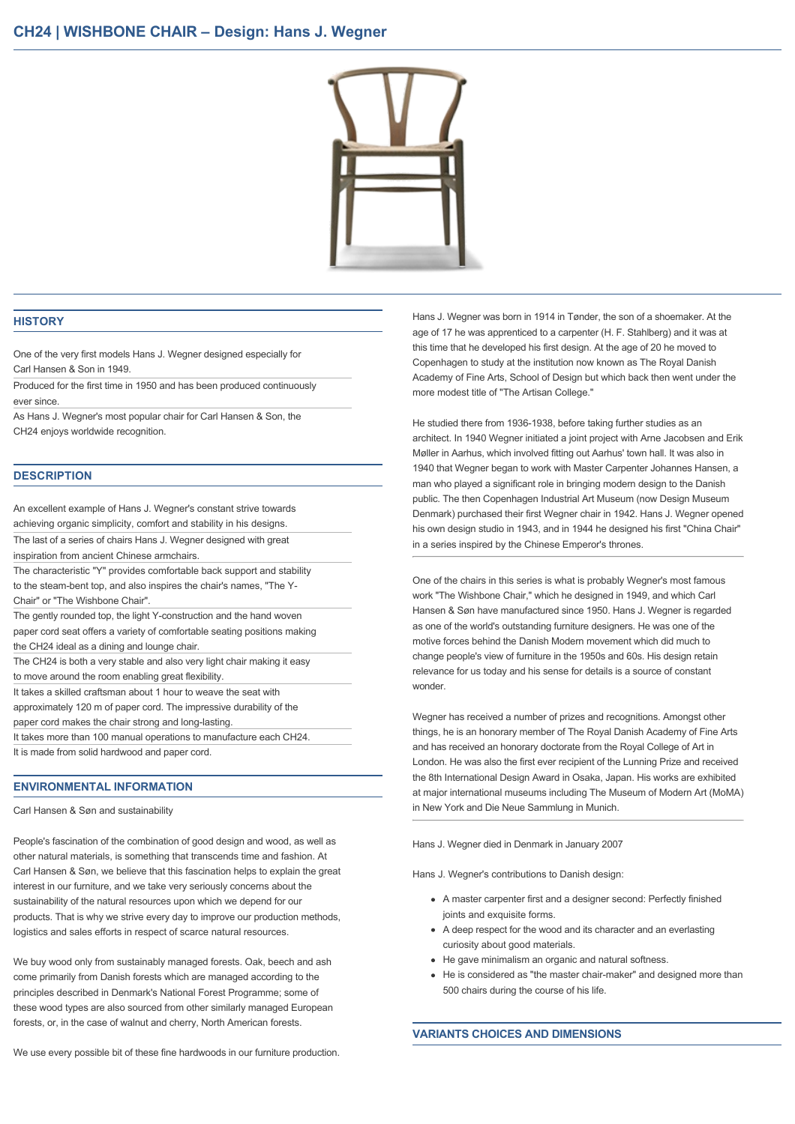

## **HISTORY**

One of the very first models Hans J. Wegner designed especially for Carl Hansen & Son in 1949.

Produced for the first time in 1950 and has been produced continuously ever since.

As Hans J. Wegner's most popular chair for Carl Hansen & Son, the CH24 enjoys worldwide recognition.

## **DESCRIPTION**

An excellent example of Hans J. Wegner's constant strive towards achieving organic simplicity, comfort and stability in his designs. The last of a series of chairs Hans J. Wegner designed with great inspiration from ancient Chinese armchairs. The characteristic "Y" provides comfortable back support and stability to the steam-bent top, and also inspires the chair's names. "The Y-Chair" or "The Wishbone Chair". The gently rounded top, the light Y-construction and the hand woven paper cord seat offers a variety of comfortable seating positions making the CH24 ideal as a dining and lounge chair. The CH24 is both a very stable and also very light chair making it easy to move around the room enabling great flexibility. It takes a skilled craftsman about 1 hour to weave the seat with approximately 120 m of paper cord. The impressive durability of the paper cord makes the chair strong and long-lasting. It takes more than 100 manual operations to manufacture each CH24.

It is made from solid hardwood and paper cord.

#### **ENVIRONMENTAL INFORMATION**

Carl Hansen & Søn and sustainability

People's fascination of the combination of good design and wood, as well as other natural materials, is something that transcends time and fashion. At Carl Hansen & Søn, we believe that this fascination helps to explain the great interest in our furniture, and we take very seriously concerns about the sustainability of the natural resources upon which we depend for our products. That is why we strive every day to improve our production methods, logistics and sales efforts in respect of scarce natural resources.

We buy wood only from sustainably managed forests. Oak, beech and ash come primarily from Danish forests which are managed according to the principles described in Denmark's National Forest Programme; some of these wood types are also sourced from other similarly managed European forests, or, in the case of walnut and cherry, North American forests.

Hans J. Wegner was born in 1914 in Tønder, the son of a shoemaker. At the age of 17 he was apprenticed to a carpenter (H. F. Stahlberg) and it was at this time that he developed his first design. At the age of 20 he moved to Copenhagen to study at the institution now known as The Royal Danish Academy of Fine Arts, School of Design but which back then went under the more modest title of "The Artisan College."

He studied there from 1936-1938, before taking further studies as an architect. In 1940 Wegner initiated a joint project with Arne Jacobsen and Erik Møller in Aarhus, which involved fitting out Aarhus' town hall. It was also in 1940 that Wegner began to work with Master Carpenter Johannes Hansen, a man who played a significant role in bringing modern design to the Danish public. The then Copenhagen Industrial Art Museum (now Design Museum Denmark) purchased their first Wegner chair in 1942. Hans J. Wegner opened his own design studio in 1943, and in 1944 he designed his first "China Chair" in a series inspired by the Chinese Emperor's thrones.

One of the chairs in this series is what is probably Wegner's most famous work "The Wishbone Chair," which he designed in 1949, and which Carl Hansen & Søn have manufactured since 1950. Hans J. Wegner is regarded as one of the world's outstanding furniture designers. He was one of the motive forces behind the Danish Modern movement which did much to change people's view of furniture in the 1950s and 60s. His design retain relevance for us today and his sense for details is a source of constant wonder.

Wegner has received a number of prizes and recognitions. Amongst other things, he is an honorary member of The Royal Danish Academy of Fine Arts and has received an honorary doctorate from the Royal College of Art in London. He was also the first ever recipient of the Lunning Prize and received the 8th International Design Award in Osaka, Japan. His works are exhibited at major international museums including The Museum of Modern Art (MoMA) in New York and Die Neue Sammlung in Munich.

Hans J. Wegner died in Denmark in January 2007

Hans J. Wegner's contributions to Danish design:

- A master carpenter first and a designer second: Perfectly finished joints and exquisite forms.
- A deep respect for the wood and its character and an everlasting curiosity about good materials.
- He gave minimalism an organic and natural softness.
- He is considered as "the master chair-maker" and designed more than 500 chairs during the course of his life.

#### **VARIANTS CHOICES AND DIMENSIONS**

We use every possible bit of these fine hardwoods in our furniture production.